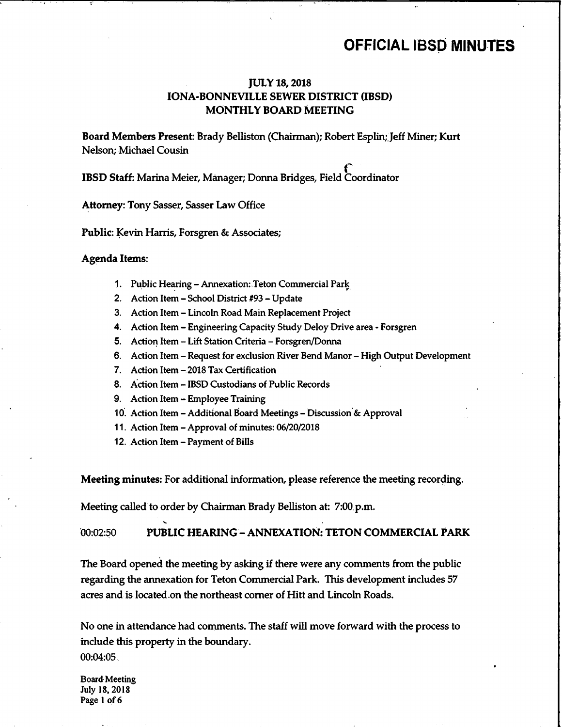### OFFICIAL IBSD MINUTES

### JULY 18, 2018 IONA-BONNEVILLE SEWER DISTRICT (IBSD) MONTHLY BOARD MEETING

Board Members Present: Brady Belliston( Chairman); Robert Esplin;.Jeff Miner; Kurt Nelson; Michael Cousin

IBSD Staff: Marina Meier, Manager; Donna Bridges, Field Coordinator

Attorney: Tony Sasser, Sasser Law Office

Public: Kevin Harris, Forsgren & Associates;

### Agenda Items:

- 1. Public Hearing- Annexation:.Teton Commercial Park
- 2. Action Item School District #93 Update
- 3. Action Item- Lincoln Road Main Replacement Project
- 4. Action Item- Engineering Capacity Study Deloy Drive area- Forsgren
- 5. Action Item Lift Station Criteria Forsgren/Donna
- 6. Action Item- Request for exclusion River Bend Manor- High Output Development
- 7. Action Item- 2018 Tax Certification
- 8. Action Item- IBSD Custodians of Public Records
- 9. Action Item- Employee Training
- 10. Action Item- Additional Board Meetings- Discussion.& Approval
- 11. Action Item- Approval of minutes: 06/20/2018
- 12. Action Item- Payment of Bills

Meeting minutes: For additional information, please reference the meeting recording.

Meeting called to order by Chairman Brady Belliston at: 7:00.p.m.

00:02:50 PUBLIC HEARING—ANNEXATION: TETON COMMERCIAL PARK

The Board opened the meeting by asking if there were any comments from the public regarding the annexation for Teton Commercial Park. This development includes 57 acres and is located.on the northeast corner of Hitt and Lincoln Roads.

No one in attendance had comments. The staff will move forward with the process to include this property in the boundary. 00:04:05.

Board Meeting July 18, 2018 Page <sup>1</sup> of 6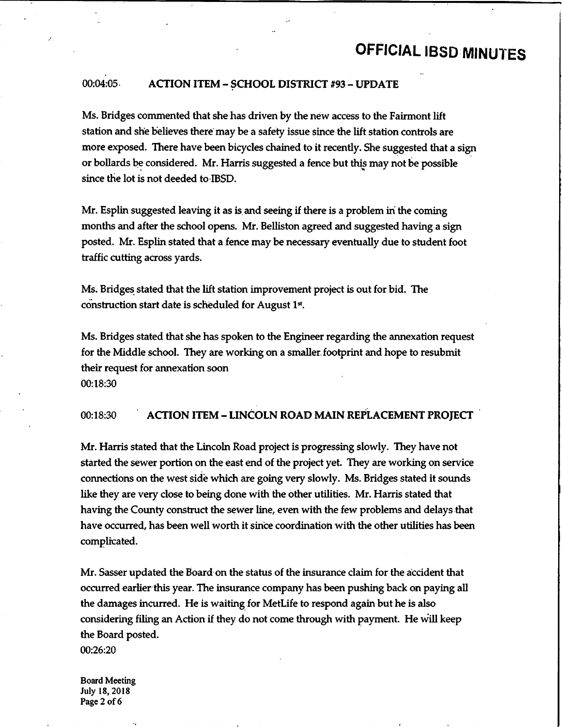## OFFICIAL IBSD MINUTES

I

### 00:04:05. ACTION ITEM - SCHOOL DISTRICT #93 - UPDATE

Ms. Bridges commented that she has driven by the new access to the Fairmont lift station and she believes there may be <sup>a</sup> safety issue since the lift station controls are more exposed. There have been bicycles chained to it recently. She suggested that <sup>a</sup> sign or bollards be considered. Mr. Harris suggested a fence but this may not be possible since the lot is not deeded to IBSD.

Mr. Esplin suggested leaving it as is.and seeing if there is <sup>a</sup> problem in the coming months and after the school opens. Mr. Belliston agreed and suggested having a sign posted. Mr.Esplin stated that a fence maybe necessary eventually due to student foot traffic cutting across yards.

Ms. Bridges stated that the lift station improvement project is out for bid. The construction start date is scheduled for August 1st.

Ms. Bridges stated that she has spoken to the Engineer regarding the annexation request for the Middle school. They are working on a smaller.footprint and hope to resubmit their request for annexation soon 00:18:30

### 00:18:30 ACTION ITEM—LINCOLN ROAD MAIN REPLACEMENT PROJECT •

Mr. Harris stated that the Lincoln Road project is progressing slowly. They have not started the sewer portion on the east end of the project yet. They are working on service connections on the west side which are going very slowly. Ms. Bridges stated it sounds like they are very close to being done with the other utilities. Mr. Harris stated that having the County construct the sewer line, even with the few problems and delays that have occurred, has been well worth it since coordination with the other utilities has been complicated.

Mr. Sasser updated the Board on the status of the insurance claim for the accident that occurred earlier this year. The insurance company has been pushing back on paying all the damages incurred. He is waiting for MetLife to respond again but he is also considering filing an Action if they do not come through with payment. He will keep the Board posted.

00:26:20

Board Meeting July 18, 2018 Page 2 of 6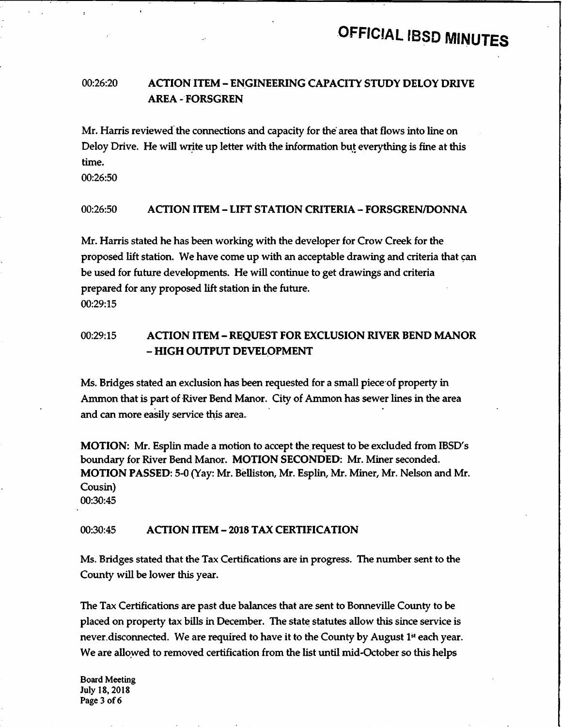### 00:26:20 ACTIONITEM—ENGINEERING CAPACITY STUDY DELOY DRIVE AREA- FORSGREN

Mr. Harris reviewed the connections and capacity for the area that flows into line on Deloy Drive. He will write up letter with the information but everything is fine at this time.

00:26:50

### 00:26:50 ACTION ITEM—LIFT STATION CRITERIA—FORSGREN/DONNA

Mr. Harris stated he has been working with the developer for Crow Creek for the proposed lift station. We have come up with an acceptable drawing and criteria that can be used for future developments. He will continue to get drawings and criteria prepared for any proposed lift station in the future. 00:29:15

### 00:29:15 ACTION ITEM - REQUEST FOR EXCLUSION RIVER BEND MANOR – HIGH OUTPUT DEVELOPMENT

Ms. Bridges stated an exclusion has been requested for <sup>a</sup> small piece•of property in Ammon that is part of River Bend Manor. City of Ammon has sewer lines in the area and can more easily service this area.

MOTION: Mr. Esplin made a motion to accept the request to be excluded from IBSD's boundary for River Bend Manor. MOTION SECONDED: Mr. Miner seconded. MOTION PASSED: 5-0( Yay: Mr. Belliston, Mr. Esplin, Mr. Miner, Mr. Nelson and Mr. Cousin) 00:30:45

### 00:30:45 ACTION ITEM—2018 TAX CERTIFICATION

Ms. Bridges stated that the Tax Certifications are in progress. The number sent to the County will be lower this year.

The Tax Certifications are past due balances that are sent to Bonneville County to be placed on property tax bills in December. The state statutes allow this since service is never, disconnected. We are required to have it to the County by August  $1<sup>st</sup>$  each year. We are allowed to removed certification from the list until mid-October so this helps

Board Meeting July 18, 2018 Page 3 of 6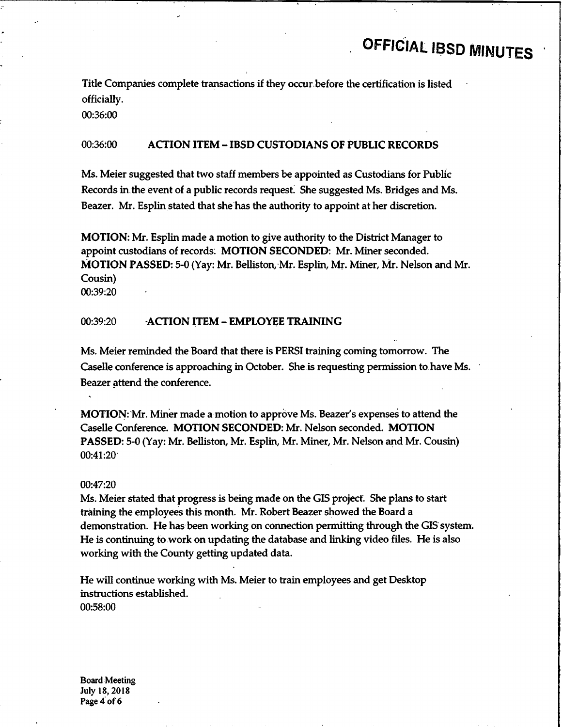## OFFICIAL IBSD MINUTES

Title Companies complete transactions if they occur.before the certification is listed officially.

00:36:00

### 00:36:00 ACTION ITEM—IBSD CUSTODIANS OF PUBLIC RECORDS

Ms. Meier suggested that two staff members be appointed as Custodians for Public Records in the event of a public records request. She suggested Ms. Bridges and Ms. Beazer. Mr. Esplin stated that she has the authority to appoint at her discretion.

MOTION: Mr. Esplin made a motion to give authority to the District Manager to appoint custodians of records: MOTION SECONDED: Mr. Miner seconded. MOTION PASSED: 5-0( Yay: Mr.Belliston,-Mr. Esplin, Mr. Miner, Mr. Nelson and Mr. Cousin) 00:39:20

### 00:39:20 ACTION ITEM—EMPLOYEE TRAINING

Ms. Meier reminded the Board that there is PERSI training coming tomorrow. The Caselle conference is approaching in October. She is requesting permission to have Ms. Beazer attend the conference.

MOTION: Mr. Miner made a motion to approve Ms. Beazer's expenses to attend the Caselle Conference. MOTION SECONDED: Mr. Nelson seconded. MOTION PASSED: 5-0( Yay: Mr. Belliston, Mr. Esplin, Mr. Miner, Mr. Nelson and Mr. Cousin)  $00:41:20$ 

#### 00:47:20

Ms. Meier stated that progress is being made on the GIS project. She plans to start training the employees this month. Mr. Robert Beazer showed the Board a demonstration. He has been working on connection permitting through the GIS system. He is continuing to work on updating the database and linking video files. He is also working with the County getting updated data.

He will continue working with Ms. Meier to train employees and get Desktop instructions established. 00:58:00

Board Meeting July 18, 2018 Page 4 of 6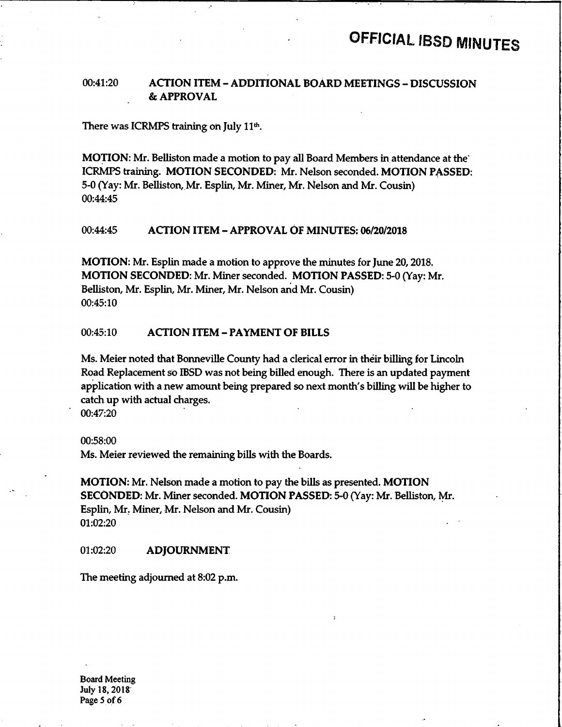L

### 00:41:20 ACTION ITEM - ADDITIONAL BOARD MEETINGS - DISCUSSION APPROVAL

There was ICRMPS training on July 11<sup>th</sup>.

MOTION: Mr. Belliston made a motion to pay all Board Members in attendance at the' ICRMPS training. MOTION SECONDED: Mr. Nelson seconded. MOTION PASSED: 5-0 (Yay: Mr. Belliston, Mr. Esplin, Mr. Miner, Mr. Nelson and Mr. Cousin) 00:44:45

### 00:44:45 ACTION ITEM - APPROVAL OF MINUTES: 06/20/2018

MOTION: Mr. Esplin made a motion to approve the minutes for June 20, 2018. MOTION SECONDED: Mr. Miner seconded. MOTION PASSED: 5-0( Yay: Mr. Belliston, Mr. Esplin, Mr. Miner, Mr. Nelson and Mr. Cousin) 00:45:10

### 00:45:10 ACTION ITEM- PAYMENT OF BILLS

Ms. Meier noted that Bonneville County had a clerical error in their billing for Lincoln Road Replacement so IBSD was not being billed enough. There is an updated payment application with a new amount being prepared so next month's billing will be higher to catch up with actual charges.

00:47:20

00:58:00

Ms. Meier reviewed the remaining bills with the Boards.

MOTION: Mr. Nelson made <sup>a</sup> motion to pay the bills as presented. MOTION SECONDED: Mr. Miner seconded. MOTION PASSED: 5-0( Yay: Mr. Belliston, Mr. Esplin, Mr; Miner, Mr. Nelson and Mr. Cousin) 01:02:20

#### 01:02:20 **ADJOURNMENT**

The meeting adjourned at 8:02 p.m.

Board Meeting July 18, 2018 Page <sup>5</sup> of 6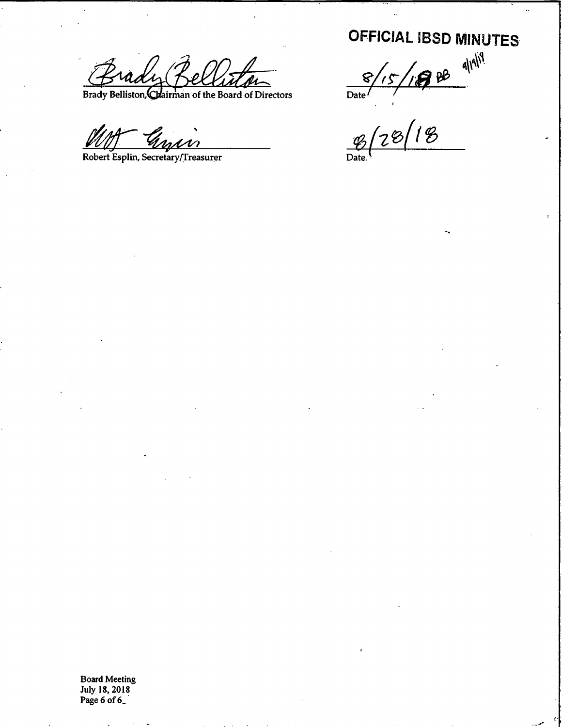Brady Belliton 8/15/1988

Brady Belliston, Chairman of the Board of Directors

Robert Esplin, Secretary/Treasurer

OFFICIAL IBSD MINUTES

 $\mathscr{C}[\mathbb{Z}^\varnothing]$ '

Board Meeting July 18, 2018 Page 6 of 6\_